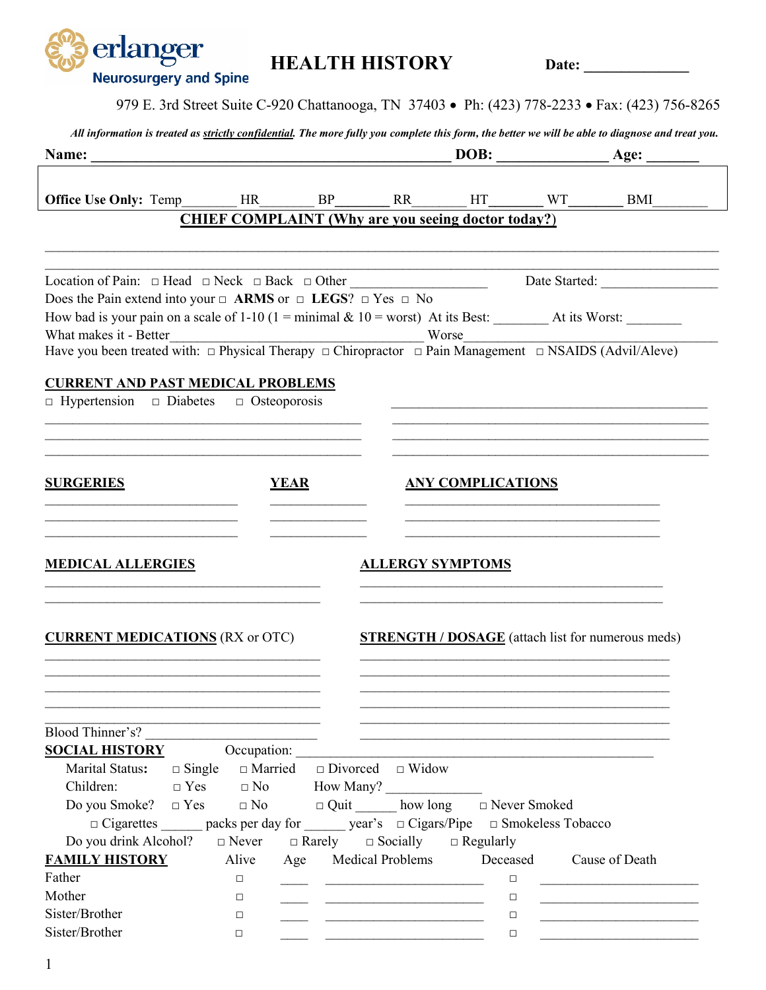| erlanger<br><b>Neurosurgery and Spine</b>                                                                                                                                                                                                                                                                                                                                                                                     |                                |                                                                                                                                                      | <b>HEALTH HISTORY</b>                                                                                                                                                                                                                |                                   |  |                                                                                                |  |  |
|-------------------------------------------------------------------------------------------------------------------------------------------------------------------------------------------------------------------------------------------------------------------------------------------------------------------------------------------------------------------------------------------------------------------------------|--------------------------------|------------------------------------------------------------------------------------------------------------------------------------------------------|--------------------------------------------------------------------------------------------------------------------------------------------------------------------------------------------------------------------------------------|-----------------------------------|--|------------------------------------------------------------------------------------------------|--|--|
|                                                                                                                                                                                                                                                                                                                                                                                                                               |                                |                                                                                                                                                      |                                                                                                                                                                                                                                      |                                   |  | 979 E. 3rd Street Suite C-920 Chattanooga, TN 37403 • Ph: (423) 778-2233 • Fax: (423) 756-8265 |  |  |
| All information is treated as <i>strictly confidential</i> . The more fully you complete this form, the better we will be able to diagnose and treat you.                                                                                                                                                                                                                                                                     |                                |                                                                                                                                                      |                                                                                                                                                                                                                                      |                                   |  |                                                                                                |  |  |
|                                                                                                                                                                                                                                                                                                                                                                                                                               |                                |                                                                                                                                                      |                                                                                                                                                                                                                                      |                                   |  |                                                                                                |  |  |
|                                                                                                                                                                                                                                                                                                                                                                                                                               |                                |                                                                                                                                                      | <b>CHIEF COMPLAINT (Why are you seeing doctor today?)</b>                                                                                                                                                                            |                                   |  |                                                                                                |  |  |
|                                                                                                                                                                                                                                                                                                                                                                                                                               |                                |                                                                                                                                                      |                                                                                                                                                                                                                                      |                                   |  |                                                                                                |  |  |
| Location of Pain: $\Box$ Head $\Box$ Neck $\Box$ Back $\Box$ Other<br>Does the Pain extend into your $\Box$ ARMS or $\Box$ LEGS? $\Box$ Yes $\Box$ No<br>What makes it - Better                                                                                                                                                                                                                                               |                                | What makes it - Better<br>Have you been treated with: $\Box$ Physical Therapy $\Box$ Chiropractor $\Box$ Pain Management $\Box$ NSAIDS (Advil/Aleve) |                                                                                                                                                                                                                                      |                                   |  |                                                                                                |  |  |
| <b>CURRENT AND PAST MEDICAL PROBLEMS</b><br>$\Box$ Hypertension $\Box$ Diabetes $\Box$ Osteoporosis                                                                                                                                                                                                                                                                                                                           |                                |                                                                                                                                                      |                                                                                                                                                                                                                                      |                                   |  |                                                                                                |  |  |
| <b>SURGERIES</b><br><b>YEAR</b>                                                                                                                                                                                                                                                                                                                                                                                               |                                |                                                                                                                                                      |                                                                                                                                                                                                                                      | <b>ANY COMPLICATIONS</b>          |  |                                                                                                |  |  |
| <b>MEDICAL ALLERGIES</b>                                                                                                                                                                                                                                                                                                                                                                                                      |                                |                                                                                                                                                      | <b>ALLERGY SYMPTOMS</b>                                                                                                                                                                                                              |                                   |  |                                                                                                |  |  |
| <b>CURRENT MEDICATIONS</b> (RX or OTC)                                                                                                                                                                                                                                                                                                                                                                                        |                                |                                                                                                                                                      |                                                                                                                                                                                                                                      |                                   |  | <b>STRENGTH / DOSAGE</b> (attach list for numerous meds)                                       |  |  |
| Blood Thinner's?<br><b>SOCIAL HISTORY</b><br>Marital Status:<br>$\Box$ Single<br>Children:<br>$\Box$ Yes $\Box$ No How Many?<br>Do you Smoke? $\Box$ Yes $\Box$ No $\Box$ Quit how long $\Box$ Never Smoked<br>□ Cigarettes _______ packs per day for ______ year's □ Cigars/Pipe □ Smokeless Tobacco<br>Do you drink Alcohol? $\Box$ Never $\Box$ Rarely $\Box$ Socially $\Box$ Regularly<br><b>FAMILY HISTORY</b><br>Father | Occupation:<br>Alive<br>$\Box$ |                                                                                                                                                      | $\Box$ Married $\Box$ Divorced $\Box$ Widow<br>Age Medical Problems                                                                                                                                                                  | Deceased Cause of Death<br>$\Box$ |  |                                                                                                |  |  |
| Mother<br>Sister/Brother<br>Sister/Brother                                                                                                                                                                                                                                                                                                                                                                                    | $\Box$<br>$\Box$<br>$\Box$     |                                                                                                                                                      | <u>and the state of the state of the state of the state of the state of the state of the state of the state of the state of the state of the state of the state of the state of the state of the state of the state of the state</u> | $\Box$<br>□<br>$\Box$             |  |                                                                                                |  |  |